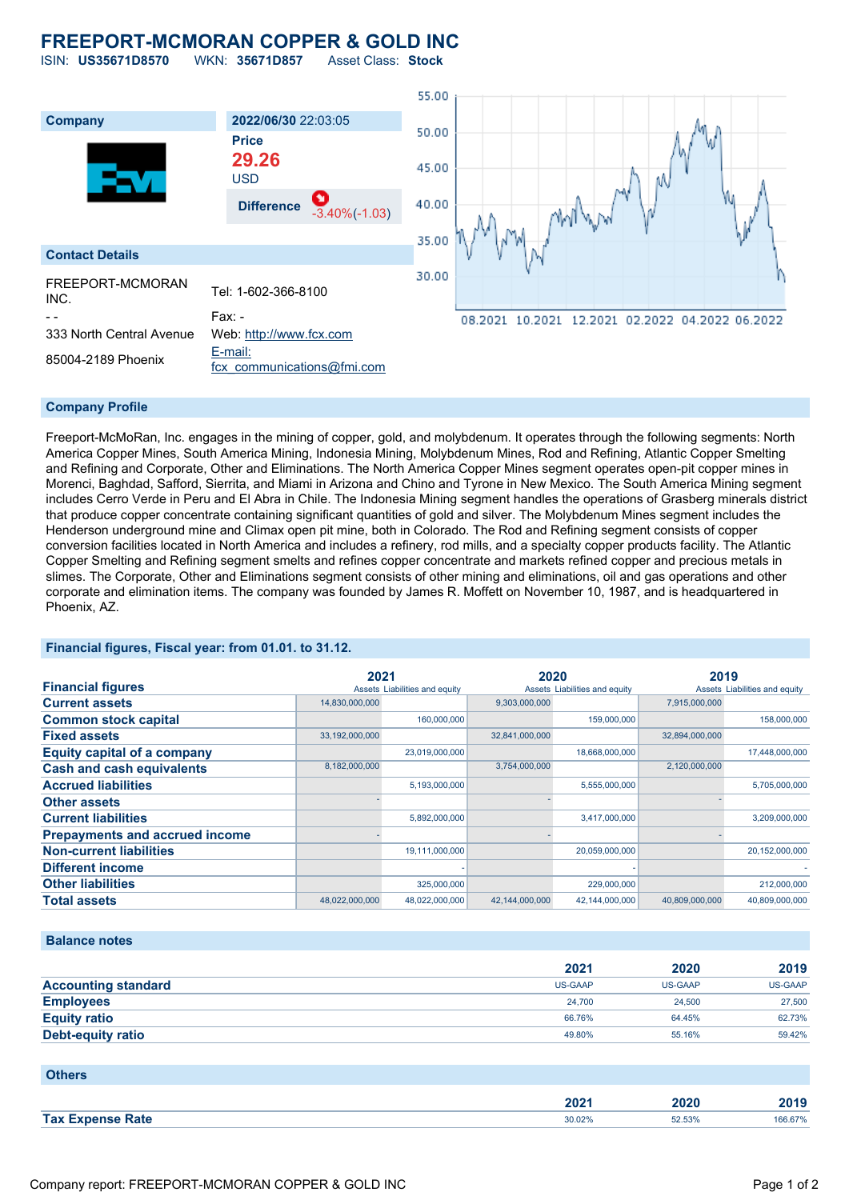## **FREEPORT-MCMORAN COPPER & GOLD INC** ISIN: **US35671D8570** WKN: **35671D857** Asset Class: **Stock**

55.00 **Company 2022/06/30** 22:03:05 50.00 **Price 29.26** 45.00 USD 40.00 **Difference** -3.40%(-1.03) 35.00 **Contact Details** 30.00 FREEPORT-MCMORAN Tel: 1-602-366-8100<br>INC. - - Fax: - 08.2021 10.2021 12.2021 02.2022 04.2022 06.2022 333 North Central Avenue Web: [http://www.fcx.com](http://www.fcx.com/)  $85004 - 2189$  Phoenix  $\frac{E-mail}{2}$ [fcx\\_communications@fmi.com](mailto:fcx_communications@fmi.com)

## **Company Profile**

Freeport-McMoRan, Inc. engages in the mining of copper, gold, and molybdenum. It operates through the following segments: North America Copper Mines, South America Mining, Indonesia Mining, Molybdenum Mines, Rod and Refining, Atlantic Copper Smelting and Refining and Corporate, Other and Eliminations. The North America Copper Mines segment operates open-pit copper mines in Morenci, Baghdad, Safford, Sierrita, and Miami in Arizona and Chino and Tyrone in New Mexico. The South America Mining segment includes Cerro Verde in Peru and El Abra in Chile. The Indonesia Mining segment handles the operations of Grasberg minerals district that produce copper concentrate containing significant quantities of gold and silver. The Molybdenum Mines segment includes the Henderson underground mine and Climax open pit mine, both in Colorado. The Rod and Refining segment consists of copper conversion facilities located in North America and includes a refinery, rod mills, and a specialty copper products facility. The Atlantic Copper Smelting and Refining segment smelts and refines copper concentrate and markets refined copper and precious metals in slimes. The Corporate, Other and Eliminations segment consists of other mining and eliminations, oil and gas operations and other corporate and elimination items. The company was founded by James R. Moffett on November 10, 1987, and is headquartered in Phoenix, AZ.

## **Financial figures, Fiscal year: from 01.01. to 31.12.**

|                                       | 2021           |                               | 2020           |                               | 2019           |                               |
|---------------------------------------|----------------|-------------------------------|----------------|-------------------------------|----------------|-------------------------------|
| <b>Financial figures</b>              |                | Assets Liabilities and equity |                | Assets Liabilities and equity |                | Assets Liabilities and equity |
| <b>Current assets</b>                 | 14,830,000,000 |                               | 9,303,000,000  |                               | 7,915,000,000  |                               |
| <b>Common stock capital</b>           |                | 160,000,000                   |                | 159,000,000                   |                | 158,000,000                   |
| <b>Fixed assets</b>                   | 33,192,000,000 |                               | 32,841,000,000 |                               | 32,894,000,000 |                               |
| <b>Equity capital of a company</b>    |                | 23,019,000,000                |                | 18,668,000,000                |                | 17,448,000,000                |
| <b>Cash and cash equivalents</b>      | 8,182,000,000  |                               | 3,754,000,000  |                               | 2,120,000,000  |                               |
| <b>Accrued liabilities</b>            |                | 5,193,000,000                 |                | 5,555,000,000                 |                | 5,705,000,000                 |
| <b>Other assets</b>                   |                |                               |                |                               |                |                               |
| <b>Current liabilities</b>            |                | 5,892,000,000                 |                | 3,417,000,000                 |                | 3,209,000,000                 |
| <b>Prepayments and accrued income</b> |                |                               |                |                               |                |                               |
| <b>Non-current liabilities</b>        |                | 19,111,000,000                |                | 20,059,000,000                |                | 20,152,000,000                |
| <b>Different income</b>               |                |                               |                |                               |                |                               |
| <b>Other liabilities</b>              |                | 325,000,000                   |                | 229,000,000                   |                | 212,000,000                   |
| <b>Total assets</b>                   | 48,022,000,000 | 48,022,000,000                | 42,144,000,000 | 42,144,000,000                | 40.809.000.000 | 40.809.000.000                |

### **Balance notes**

|                            | 2021    | 2020           | 2019           |
|----------------------------|---------|----------------|----------------|
| <b>Accounting standard</b> | US-GAAP | <b>US-GAAP</b> | <b>US-GAAP</b> |
| <b>Employees</b>           | 24.700  | 24,500         | 27,500         |
| <b>Equity ratio</b>        | 66.76%  | 64.45%         | 62.73%         |
| <b>Debt-equity ratio</b>   | 49.80%  | 55.16%         | 59.42%         |

| <b>Others</b>           |        |        |         |
|-------------------------|--------|--------|---------|
|                         | 2021   | 2020   | 2019    |
| <b>Tax Expense Rate</b> | 30.02% | 52.53% | 166.67% |